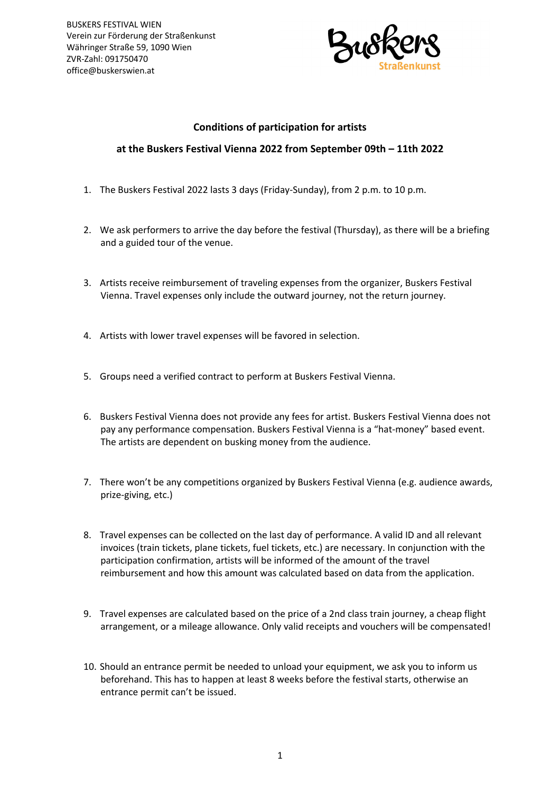

## **Conditions of participation for artists**

## **at the Buskers Festival Vienna 2022 from September 09th – 11th 2022**

- 1. The Buskers Festival 2022 lasts 3 days (Friday-Sunday), from 2 p.m. to 10 p.m.
- 2. We ask performers to arrive the day before the festival (Thursday), as there will be a briefing and a guided tour of the venue.
- 3. Artists receive reimbursement of traveling expenses from the organizer, Buskers Festival Vienna. Travel expenses only include the outward journey, not the return journey.
- 4. Artists with lower travel expenses will be favored in selection.
- 5. Groups need a verified contract to perform at Buskers Festival Vienna.
- 6. Buskers Festival Vienna does not provide any fees for artist. Buskers Festival Vienna does not pay any performance compensation. Buskers Festival Vienna is a "hat-money" based event. The artists are dependent on busking money from the audience.
- 7. There won't be any competitions organized by Buskers Festival Vienna (e.g. audience awards, prize-giving, etc.)
- 8. Travel expenses can be collected on the last day of performance. A valid ID and all relevant invoices (train tickets, plane tickets, fuel tickets, etc.) are necessary. In conjunction with the participation confirmation, artists will be informed of the amount of the travel reimbursement and how this amount was calculated based on data from the application.
- 9. Travel expenses are calculated based on the price of a 2nd class train journey, a cheap flight arrangement, or a mileage allowance. Only valid receipts and vouchers will be compensated!
- 10. Should an entrance permit be needed to unload your equipment, we ask you to inform us beforehand. This has to happen at least 8 weeks before the festival starts, otherwise an entrance permit can't be issued.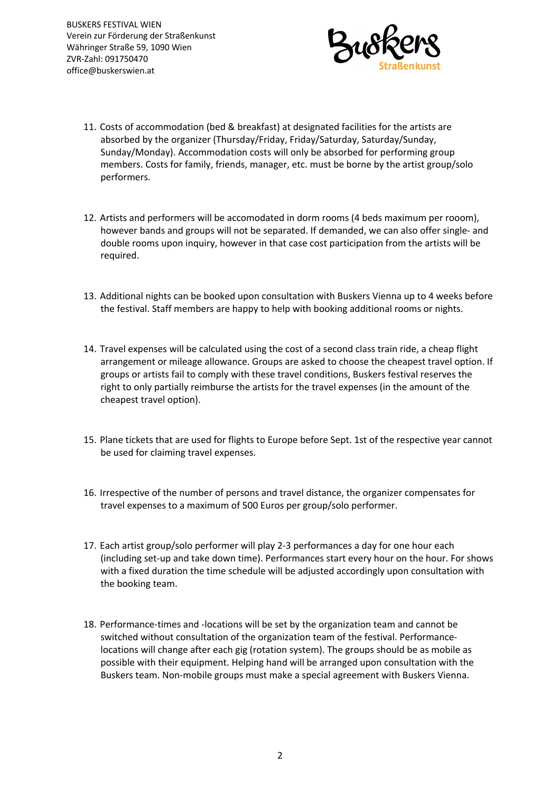BUSKERS FESTIVAL WIEN Verein zur Förderung der Straßenkunst Währinger Straße 59, 1090 Wien ZVR-Zahl: 091750470 office@buskerswien.at



- 11. Costs of accommodation (bed & breakfast) at designated facilities for the artists are absorbed by the organizer (Thursday/Friday, Friday/Saturday, Saturday/Sunday, Sunday/Monday). Accommodation costs will only be absorbed for performing group members. Costs for family, friends, manager, etc. must be borne by the artist group/solo performers.
- 12. Artists and performers will be accomodated in dorm rooms (4 beds maximum per rooom), however bands and groups will not be separated. If demanded, we can also offer single- and double rooms upon inquiry, however in that case cost participation from the artists will be required.
- 13. Additional nights can be booked upon consultation with Buskers Vienna up to 4 weeks before the festival. Staff members are happy to help with booking additional rooms or nights.
- 14. Travel expenses will be calculated using the cost of a second class train ride, a cheap flight arrangement or mileage allowance. Groups are asked to choose the cheapest travel option. If groups or artists fail to comply with these travel conditions, Buskers festival reserves the right to only partially reimburse the artists for the travel expenses (in the amount of the cheapest travel option).
- 15. Plane tickets that are used for flights to Europe before Sept. 1st of the respective year cannot be used for claiming travel expenses.
- 16. Irrespective of the number of persons and travel distance, the organizer compensates for travel expenses to a maximum of 500 Euros per group/solo performer.
- 17. Each artist group/solo performer will play 2-3 performances a day for one hour each (including set-up and take down time). Performances start every hour on the hour. For shows with a fixed duration the time schedule will be adjusted accordingly upon consultation with the booking team.
- 18. Performance-times and -locations will be set by the organization team and cannot be switched without consultation of the organization team of the festival. Performancelocations will change after each gig (rotation system). The groups should be as mobile as possible with their equipment. Helping hand will be arranged upon consultation with the Buskers team. Non-mobile groups must make a special agreement with Buskers Vienna.